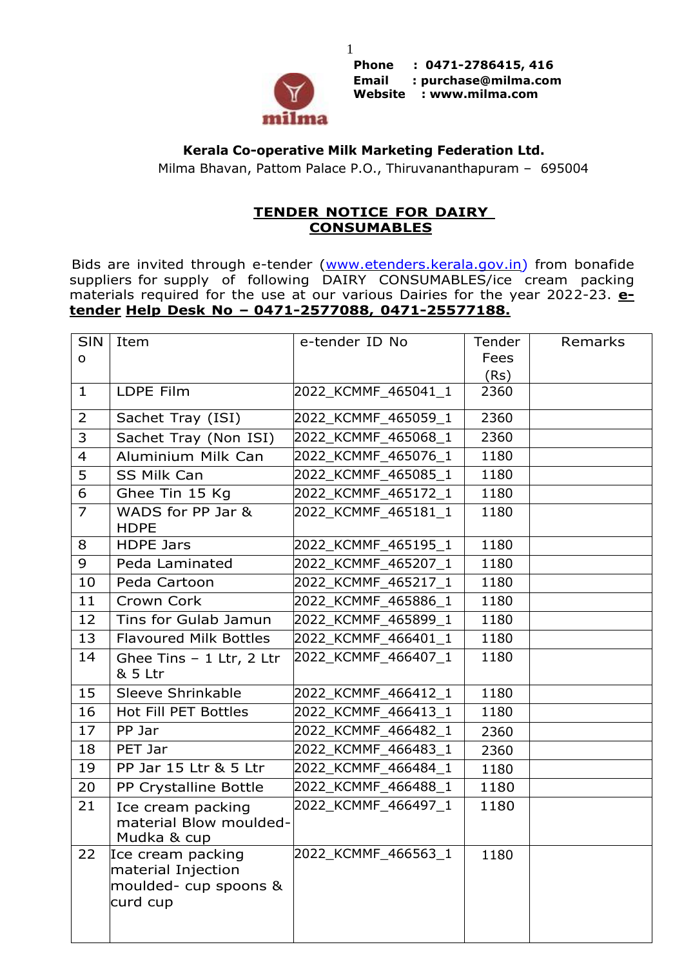

**Phone : 0471-2786415, 416 Email : [purchase@milma.com](mailto:purchase@milma.com) Website : [www.milma.com](http://www.milma.com/)**

## **Kerala Co-operative Milk Marketing Federation Ltd.**

1

Milma Bhavan, Pattom Palace P.O., Thiruvananthapuram – 695004

## **TENDER NOTICE FOR DAIRY CONSUMABLES**

Bids are invited through e-tender [\(www.etenders.kerala.gov.in\)](http://www.etenders.kerala.gov.in/) from bonafide suppliers for supply of following DAIRY CONSUMABLES/ice cream packing materials required for the use at our various Dairies for the year 2022-23. **etender Help Desk No – 0471-2577088, 0471-25577188.**

| <b>SIN</b>     | Item                                                                         | e-tender ID No      | Tender | Remarks |
|----------------|------------------------------------------------------------------------------|---------------------|--------|---------|
| $\mathsf{o}$   |                                                                              |                     | Fees   |         |
|                |                                                                              |                     | (Rs)   |         |
| $\mathbf{1}$   | LDPE Film                                                                    | 2022 KCMMF_465041_1 | 2360   |         |
| $\overline{2}$ | Sachet Tray (ISI)                                                            | 2022_KCMMF_465059_1 | 2360   |         |
| 3              | Sachet Tray (Non ISI)                                                        | 2022 KCMMF 465068 1 | 2360   |         |
| $\overline{4}$ | Aluminium Milk Can                                                           | 2022 KCMMF 465076 1 | 1180   |         |
| 5              | SS Milk Can                                                                  | 2022 KCMMF_465085_1 | 1180   |         |
| 6              | Ghee Tin 15 Kg                                                               | 2022 KCMMF_465172_1 | 1180   |         |
| $\overline{7}$ | WADS for PP Jar &<br><b>HDPE</b>                                             | 2022_KCMMF_465181_1 | 1180   |         |
| 8              | <b>HDPE Jars</b>                                                             | 2022 KCMMF_465195_1 | 1180   |         |
| 9              | Peda Laminated                                                               | 2022 KCMMF 465207 1 | 1180   |         |
| 10             | Peda Cartoon                                                                 | 2022_KCMMF_465217_1 | 1180   |         |
| 11             | Crown Cork                                                                   | 2022_KCMMF_465886_1 | 1180   |         |
| 12             | Tins for Gulab Jamun                                                         | 2022 KCMMF_465899_1 | 1180   |         |
| 13             | <b>Flavoured Milk Bottles</b>                                                | 2022 KCMMF 466401 1 | 1180   |         |
| 14             | Ghee Tins - 1 Ltr, 2 Ltr<br>& 5 Ltr                                          | 2022 KCMMF_466407_1 | 1180   |         |
| 15             | Sleeve Shrinkable                                                            | 2022_KCMMF_466412_1 | 1180   |         |
| 16             | Hot Fill PET Bottles                                                         | 2022 KCMMF_466413_1 | 1180   |         |
| 17             | PP Jar                                                                       | 2022 KCMMF_466482_1 | 2360   |         |
| 18             | PET Jar                                                                      | 2022 KCMMF_466483_1 | 2360   |         |
| 19             | PP Jar 15 Ltr & 5 Ltr                                                        | 2022 KCMMF_466484_1 | 1180   |         |
| 20             | PP Crystalline Bottle                                                        | 2022_KCMMF_466488_1 | 1180   |         |
| 21             | Ice cream packing<br>material Blow moulded-<br>Mudka & cup                   | 2022 KCMMF 466497 1 | 1180   |         |
| 22             | Ice cream packing<br>material Injection<br>moulded- cup spoons &<br>curd cup | 2022_KCMMF_466563_1 | 1180   |         |